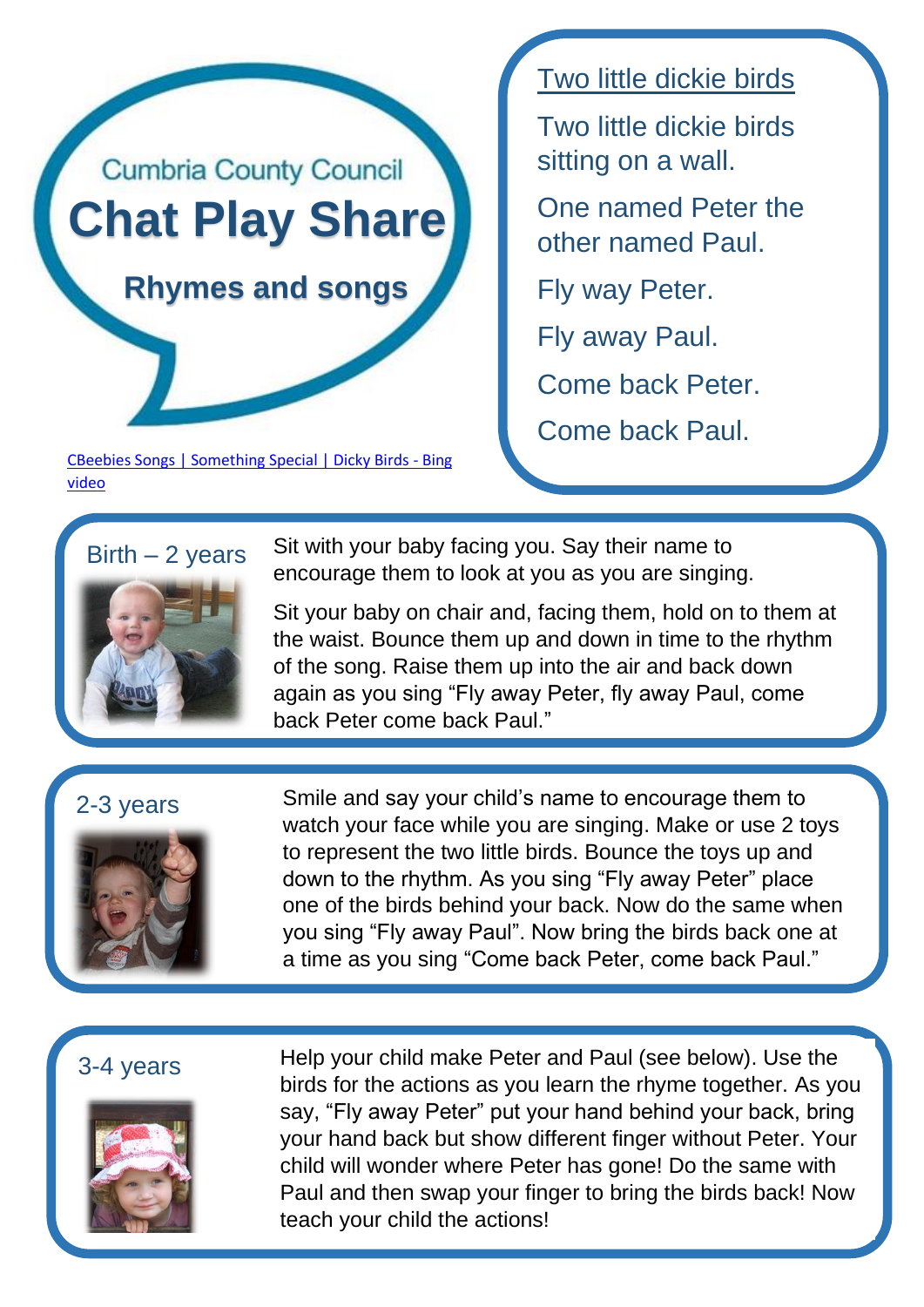

[CBeebies Songs | Something Special | Dicky Birds -](https://www.bing.com/videos/search?q=two+little+dickie+birds+bbc&&view=detail&mid=D1C5AE7BEC7DB4007479D1C5AE7BEC7DB4007479&&FORM=VRDGAR&ru=%2Fvideos%2Fsearch%3Fq%3Dtwo%2Blittle%2Bdickie%2Bbirds%2Bbbc%26qpvt%3Dtwo%2Blittle%2Bdickie%2Bbirds%2Bbbc%26FORM%3DVDRE) Bing [video](https://www.bing.com/videos/search?q=two+little+dickie+birds+bbc&&view=detail&mid=D1C5AE7BEC7DB4007479D1C5AE7BEC7DB4007479&&FORM=VRDGAR&ru=%2Fvideos%2Fsearch%3Fq%3Dtwo%2Blittle%2Bdickie%2Bbirds%2Bbbc%26qpvt%3Dtwo%2Blittle%2Bdickie%2Bbirds%2Bbbc%26FORM%3DVDRE)

Two little dickie birds

Two little dickie birds sitting on a wall.

One named Peter the other named Paul.

Fly way Peter.

Fly away Paul.

Come back Peter.

Come back Paul.

# $Birth - 2 years$



Sit with your baby facing you. Say their name to encourage them to look at you as you are singing.

Sit your baby on chair and, facing them, hold on to them at the waist. Bounce them up and down in time to the rhythm of the song. Raise them up into the air and back down again as you sing "Fly away Peter, fly away Paul, come back Peter come back Paul."

# 2-3 years



Smile and say your child's name to encourage them to watch your face while you are singing. Make or use 2 toys to represent the two little birds. Bounce the toys up and down to the rhythm. As you sing "Fly away Peter" place one of the birds behind your back. Now do the same when you sing "Fly away Paul". Now bring the birds back one at a time as you sing "Come back Peter, come back Paul."

# 3-4 years



Help your child make Peter and Paul (see below). Use the birds for the actions as you learn the rhyme together. As you say, "Fly away Peter" put your hand behind your back, bring your hand back but show different finger without Peter. Your child will wonder where Peter has gone! Do the same with Paul and then swap your finger to bring the birds back! Now teach your child the actions!